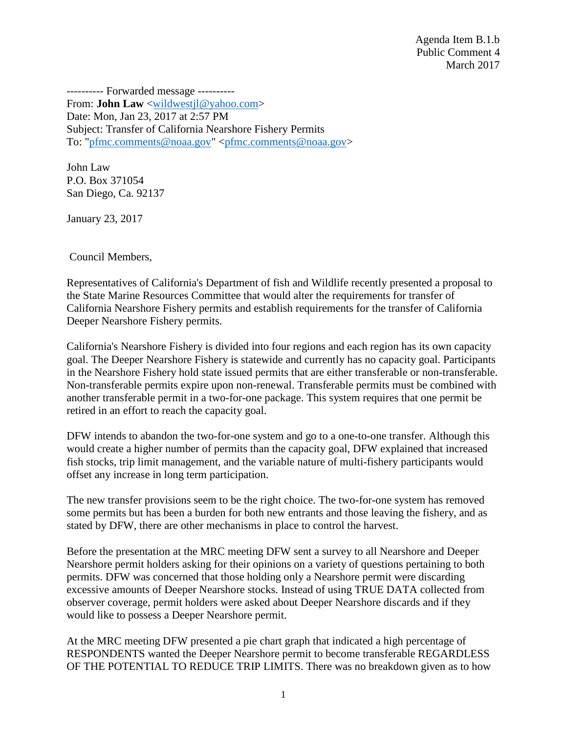Agenda Item B.1.b Public Comment 4 March 2017

---------- Forwarded message ---------- From: **John Law** [<wildwestjl@yahoo.com>](mailto:wildwestjl@yahoo.com) Date: Mon, Jan 23, 2017 at 2:57 PM Subject: Transfer of California Nearshore Fishery Permits To: ["pfmc.comments@noaa.gov"](mailto:pfmc.comments@noaa.gov) [<pfmc.comments@noaa.gov>](mailto:pfmc.comments@noaa.gov)

John Law P.O. Box 371054 San Diego, Ca. 92137

January 23, 2017

Council Members,

Representatives of California's Department of fish and Wildlife recently presented a proposal to the State Marine Resources Committee that would alter the requirements for transfer of California Nearshore Fishery permits and establish requirements for the transfer of California Deeper Nearshore Fishery permits.

California's Nearshore Fishery is divided into four regions and each region has its own capacity goal. The Deeper Nearshore Fishery is statewide and currently has no capacity goal. Participants in the Nearshore Fishery hold state issued permits that are either transferable or non-transferable. Non-transferable permits expire upon non-renewal. Transferable permits must be combined with another transferable permit in a two-for-one package. This system requires that one permit be retired in an effort to reach the capacity goal.

DFW intends to abandon the two-for-one system and go to a one-to-one transfer. Although this would create a higher number of permits than the capacity goal, DFW explained that increased fish stocks, trip limit management, and the variable nature of multi-fishery participants would offset any increase in long term participation.

The new transfer provisions seem to be the right choice. The two-for-one system has removed some permits but has been a burden for both new entrants and those leaving the fishery, and as stated by DFW, there are other mechanisms in place to control the harvest.

Before the presentation at the MRC meeting DFW sent a survey to all Nearshore and Deeper Nearshore permit holders asking for their opinions on a variety of questions pertaining to both permits. DFW was concerned that those holding only a Nearshore permit were discarding excessive amounts of Deeper Nearshore stocks. Instead of using TRUE DATA collected from observer coverage, permit holders were asked about Deeper Nearshore discards and if they would like to possess a Deeper Nearshore permit.

At the MRC meeting DFW presented a pie chart graph that indicated a high percentage of RESPONDENTS wanted the Deeper Nearshore permit to become transferable REGARDLESS OF THE POTENTIAL TO REDUCE TRIP LIMITS. There was no breakdown given as to how